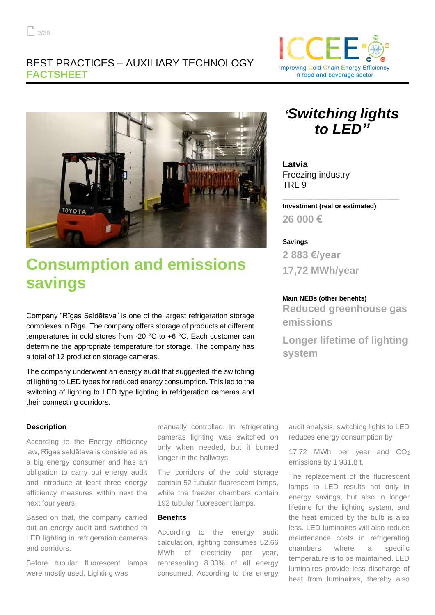## BEST PRACTICES – AUXILIARY TECHNOLOGY **FACTSHEET**





# **Consumption and emissions savings**

Company "Rīgas Saldētava" is one of the largest refrigeration storage complexes in Riga. The company offers storage of products at different temperatures in cold stores from -20 °C to +6 °C. Each customer can determine the appropriate temperature for storage. The company has a total of 12 production storage cameras.

The company underwent an energy audit that suggested the switching of lighting to LED types for reduced energy consumption. This led to the switching of lighting to LED type lighting in refrigeration cameras and their connecting corridors.

## *'Switching lights to LED"*

**Latvia** Freezing industry TRL 9

**Investment (real or estimated) 26 000 €**

\_\_\_\_\_\_\_\_\_\_\_\_\_\_\_\_\_\_\_\_\_\_\_\_\_\_\_\_\_\_\_\_

#### **Savings**

**2 883 €/year 17,72 MWh/year**

#### **Main NEBs (other benefits)**

**Reduced greenhouse gas emissions**

**Longer lifetime of lighting system**

#### **Description**

According to the Energy efficiency law, Rīgas saldētava is considered as a big energy consumer and has an obligation to carry out energy audit and introduce at least three energy efficiency measures within next the next four years.

Based on that, the company carried out an energy audit and switched to LED lighting in refrigeration cameras and corridors.

Before tubular fluorescent lamps were mostly used. Lighting was

manually controlled. In refrigerating cameras lighting was switched on only when needed, but it burned longer in the hallways.

The corridors of the cold storage contain 52 tubular fluorescent lamps, while the freezer chambers contain 192 tubular fluorescent lamps.

#### **Benefits**

According to the energy audit calculation, lighting consumes 52.66 MWh of electricity per year, representing 8.33% of all energy consumed. According to the energy audit analysis, switching lights to LED reduces energy consumption by

17.72 MWh per year and CO<sup>2</sup> emissions by 1 931.8 t.

The replacement of the fluorescent lamps to LED results not only in energy savings, but also in longer lifetime for the lighting system, and the heat emitted by the bulb is also less. LED luminaires will also reduce maintenance costs in refrigerating chambers where a specific temperature is to be maintained. LED luminaires provide less discharge of heat from luminaires, thereby also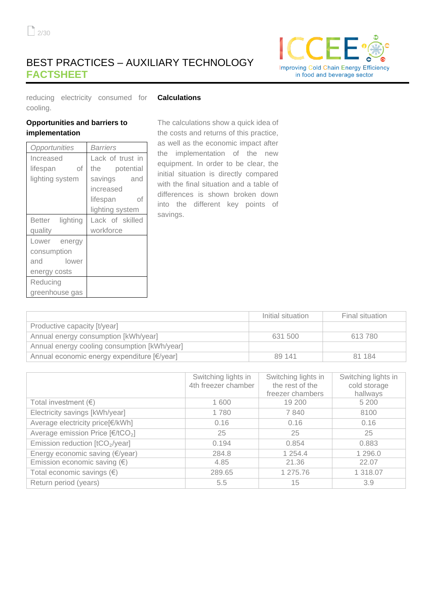## BEST PRACTICES – AUXILIARY TECHNOLOGY **FACTSHEET**



reducing electricity consumed for cooling. **Calculations**

#### **Opportunities and barriers to implementation**

| Opportunities   | Barriers         |  |  |
|-----------------|------------------|--|--|
| Increased       | Lack of trust in |  |  |
| оf<br>lifespan  | the<br>potential |  |  |
| lighting system | savings and      |  |  |
|                 | increased        |  |  |
|                 | of<br>lifespan   |  |  |
|                 | lighting system  |  |  |
| Better lighting | Lack of skilled  |  |  |
| quality         | workforce        |  |  |
| Lower energy    |                  |  |  |
| consumption     |                  |  |  |
| and lower       |                  |  |  |
| energy costs    |                  |  |  |
| Reducing        |                  |  |  |
| greenhouse gas  |                  |  |  |

The calculations show a quick idea of the costs and returns of this practice, as well as the economic impact after the implementation of the new equipment. In order to be clear, the initial situation is directly compared with the final situation and a table of differences is shown broken down into the different key points of savings.

|                                              | Initial situation | Final situation |
|----------------------------------------------|-------------------|-----------------|
| Productive capacity [t/year]                 |                   |                 |
| Annual energy consumption [kWh/year]         | 631 500           | 613780          |
| Annual energy cooling consumption [kWh/year] |                   |                 |
| Annual economic energy expenditure [€/year]  | 89 141            | 81 184          |

|                                                              | Switching lights in<br>4th freezer chamber | Switching lights in<br>the rest of the<br>freezer chambers | Switching lights in<br>cold storage<br>hallways |
|--------------------------------------------------------------|--------------------------------------------|------------------------------------------------------------|-------------------------------------------------|
| Total investment $(\epsilon)$                                | 1600                                       | 19 200                                                     | 5 200                                           |
| Electricity savings [kWh/year]                               | 1780                                       | 7840                                                       | 8100                                            |
| Average electricity price[€/kWh]                             | 0.16                                       | 0.16                                                       | 0.16                                            |
| Average emission Price $\left[\frac{\epsilon}{tCO_2}\right]$ | 25                                         | 25                                                         | 25                                              |
| Emission reduction [tCO <sub>2</sub> /year]                  | 0.194                                      | 0.854                                                      | 0.883                                           |
| Energy economic saving (€/year)                              | 284.8                                      | 1 2 5 4 .4                                                 | 1 296.0                                         |
| Emission economic saving $(\epsilon)$                        | 4.85                                       | 21.36                                                      | 22.07                                           |
| Total economic savings $(\epsilon)$                          | 289.65                                     | 1 275.76                                                   | 1 318.07                                        |
| Return period (years)                                        | 5.5                                        | 15                                                         | 3.9                                             |